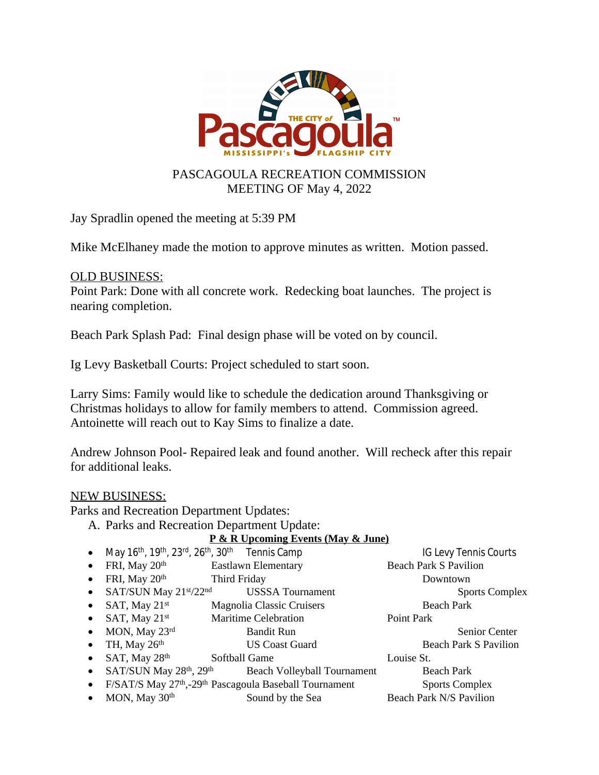

Jay Spradlin opened the meeting at 5:39 PM

Mike McElhaney made the motion to approve minutes as written. Motion passed.

## OLD BUSINESS:

Point Park: Done with all concrete work. Redecking boat launches. The project is nearing completion.

Beach Park Splash Pad: Final design phase will be voted on by council.

Ig Levy Basketball Courts: Project scheduled to start soon.

Larry Sims: Family would like to schedule the dedication around Thanksgiving or Christmas holidays to allow for family members to attend. Commission agreed. Antoinette will reach out to Kay Sims to finalize a date.

Andrew Johnson Pool- Repaired leak and found another. Will recheck after this repair for additional leaks.

## NEW BUSINESS:

Parks and Recreation Department Updates:

A. Parks and Recreation Department Update:

## **P & R Upcoming Events (May & June)**

- May 16<sup>th</sup>, 19<sup>th</sup>, 23<sup>rd</sup>, 26<sup>th</sup>, 30<sup>th</sup> Tennis Camp IG Levy Tennis Courts • FRI, May 20<sup>th</sup> Eastlawn Elementary Beach Park S Pavilion
- FRI, May 20<sup>th</sup> Third Friday **Downtown**
- SAT/SUN May 21<sup>st</sup>/22<sup>nd</sup> USSSA Tournament Sports Complex
- SAT, May 21<sup>st</sup> Magnolia Classic Cruisers Beach Park
- SAT, May 21<sup>st</sup> Maritime Celebration Point Park
- MON, May 23<sup>rd</sup> Bandit Run Senior Center
- TH, May 26<sup>th</sup> US Coast Guard Beach Park S Pavilion
- SAT, May 28<sup>th</sup> Softball Game Louise St.
- $SAT/SUN$  May  $28<sup>th</sup>$ ,  $29<sup>th</sup>$  Beach Volleyball Tournament Beach Park
- F/SAT/S May 27<sup>th</sup>,-29<sup>th</sup> Pascagoula Baseball Tournament Sports Complex
- MON, May 30<sup>th</sup> Sound by the Sea Beach Park N/S Pavilion